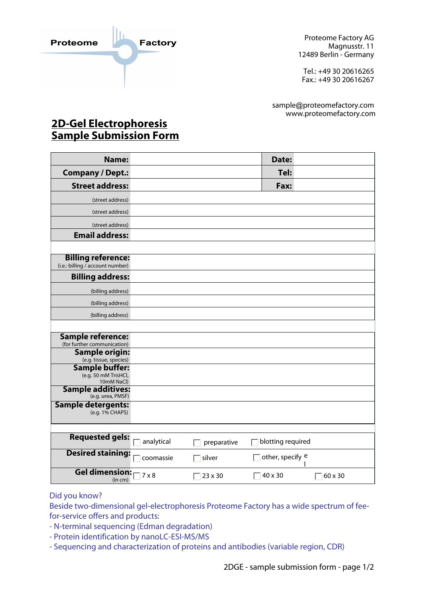

sequencing / Edman degradation, and

Proteome Factory AG Magnusstr. 11 12489 Berlin - Germany

Tel.: +49 30 20616265 Fax.: +49 30 20616267

sample@proteomefactory.com www.proteomefactory.com

## **2D-Gel Electrophoresis <u>Sample Submission Form</u>**

MALDI-MS, TOF-MS,

| Name:                                                       | Date:                                       |
|-------------------------------------------------------------|---------------------------------------------|
| <b>Company / Dept.:</b>                                     | Tel:                                        |
| <b>Street address:</b>                                      | Fax:                                        |
| (street address)                                            |                                             |
|                                                             |                                             |
| (street address)                                            |                                             |
| (street address)<br><b>Email address:</b>                   |                                             |
|                                                             |                                             |
| <b>Billing reference:</b>                                   |                                             |
| (i.e.: billing $\sqrt{\text{account number}}$ )             |                                             |
| <b>Billing address:</b>                                     |                                             |
| (billing address)                                           |                                             |
| (billing address)                                           |                                             |
| (billing address)                                           |                                             |
|                                                             |                                             |
| <b>Sample reference:</b>                                    |                                             |
| (for further communication)<br><b>Sample origin:</b>        |                                             |
| (e.g. tissue, species)                                      |                                             |
| <b>Sample buffer:</b><br>(e.g. 50 mM TrisHCl,<br>10mM NaCl) |                                             |
| <b>Sample additives:</b><br>(e.g. urea, PMSF)               |                                             |
| <b>Sample detergents:</b><br>(e.g. 1% CHAPS)                |                                             |
| <b>Requested gels:</b><br>analytical                        | blotting required<br>preparative            |
| <b>Desired staining:</b><br>coomassie                       | other, specify e<br>silver                  |
| <b>Gel dimension:</b><br>$7 \times 8$                       | 40 x 30<br>23 x 30<br>$\sqrt{60 \times 30}$ |

## Did you know?

Beside two-dimensional gel-electrophoresis Proteome Factory has a wide spectrum of feefor-service offers and products:

- N-terminal sequencing (Edman degradation)
- Protein identification by nanoLC-ESI-MS/MS
- Sequencing and characterization of proteins and antibodies (variable region, CDR)